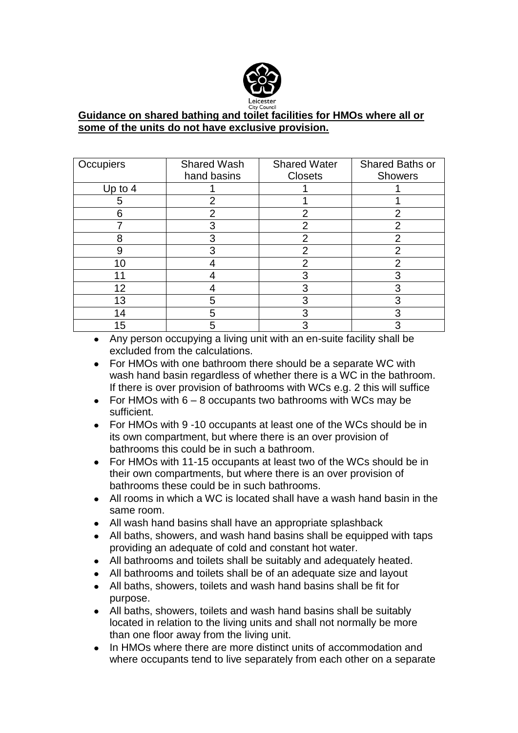

## **Guidance on shared bathing and toilet facilities for HMOs where all or some of the units do not have exclusive provision.**

| Occupiers | <b>Shared Wash</b> | <b>Shared Water</b> | Shared Baths or |
|-----------|--------------------|---------------------|-----------------|
|           | hand basins        | <b>Closets</b>      | Showers         |
| Up to $4$ |                    |                     |                 |
| 5         | 2                  |                     |                 |
| 6         | 2                  | 2                   | 2               |
|           | 3                  | 2                   | າ               |
|           |                    | っ                   | 2               |
|           |                    | っ                   | າ               |
| 10        |                    |                     | っ               |
| 11        |                    |                     |                 |
| 12        |                    | З                   | 3               |
| 13        | 5                  |                     |                 |
| 14        | 5                  | 3                   | ٩               |
| 15        | 5                  | ລ                   | ⌒               |

- Any person occupying a living unit with an en-suite facility shall be excluded from the calculations.
- For HMOs with one bathroom there should be a separate WC with wash hand basin regardless of whether there is a WC in the bathroom. If there is over provision of bathrooms with WCs e.g. 2 this will suffice
- For HMOs with  $6 8$  occupants two bathrooms with WCs may be  $\bullet$ sufficient.
- $\bullet$ For HMOs with 9 -10 occupants at least one of the WCs should be in its own compartment, but where there is an over provision of bathrooms this could be in such a bathroom.
- For HMOs with 11-15 occupants at least two of the WCs should be in  $\bullet$ their own compartments, but where there is an over provision of bathrooms these could be in such bathrooms.
- All rooms in which a WC is located shall have a wash hand basin in the same room.
- All wash hand basins shall have an appropriate splashback  $\bullet$
- All baths, showers, and wash hand basins shall be equipped with taps providing an adequate of cold and constant hot water.
- All bathrooms and toilets shall be suitably and adequately heated.
- All bathrooms and toilets shall be of an adequate size and layout
- All baths, showers, toilets and wash hand basins shall be fit for purpose.
- All baths, showers, toilets and wash hand basins shall be suitably located in relation to the living units and shall not normally be more than one floor away from the living unit.
- In HMOs where there are more distinct units of accommodation and  $\bullet$ where occupants tend to live separately from each other on a separate